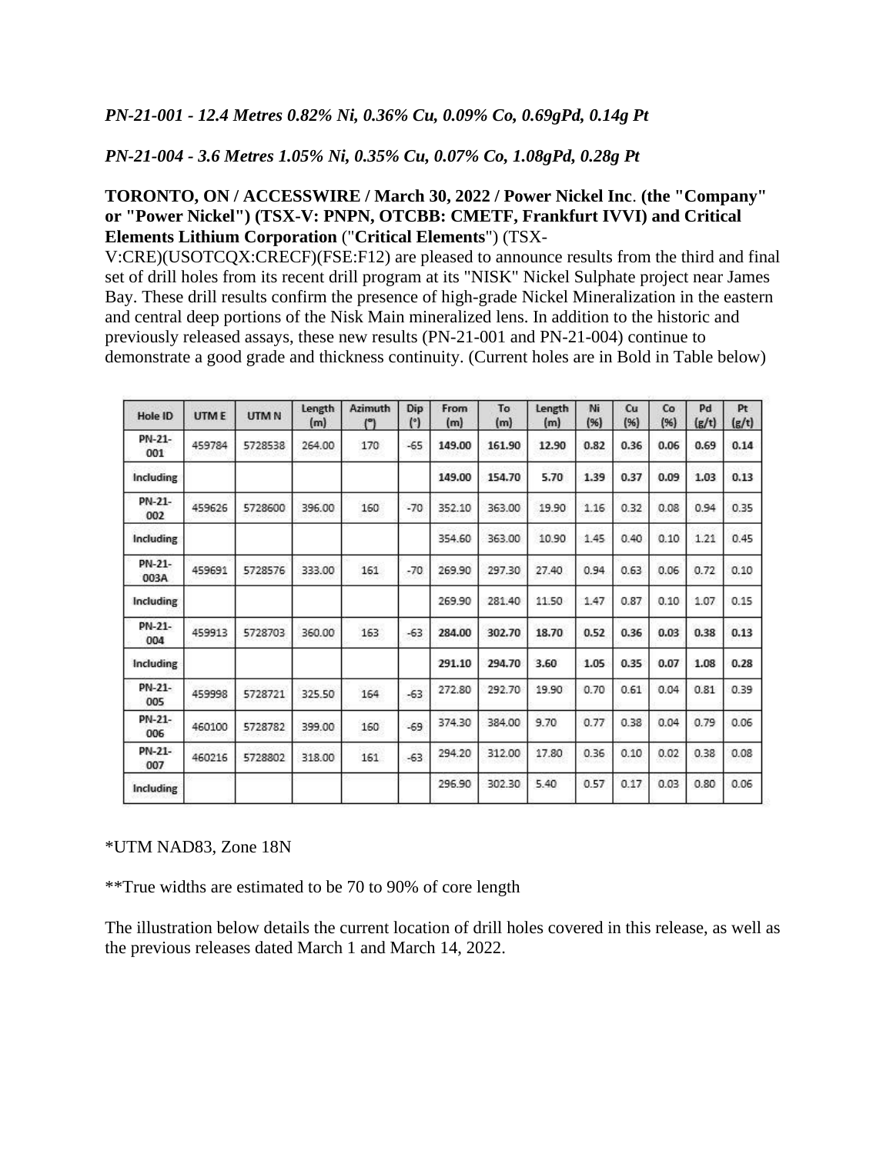*PN-21-004 - 3.6 Metres 1.05% Ni, 0.35% Cu, 0.07% Co, 1.08gPd, 0.28g Pt*

## **TORONTO, ON / ACCESSWIRE / March 30, 2022 / Power Nickel Inc**. **(the "Company" or "Power Nickel") (TSX-V: PNPN, OTCBB: CMETF, Frankfurt IVVI) and Critical Elements Lithium Corporation** ("**Critical Elements**") (TSX-

V:CRE)(USOTCQX:CRECF)(FSE:F12) are pleased to announce results from the third and final set of drill holes from its recent drill program at its "NISK" Nickel Sulphate project near James Bay. These drill results confirm the presence of high-grade Nickel Mineralization in the eastern and central deep portions of the Nisk Main mineralized lens. In addition to the historic and previously released assays, these new results (PN-21-001 and PN-21-004) continue to demonstrate a good grade and thickness continuity. (Current holes are in Bold in Table below)

| Hole ID        | <b>UTME</b> | <b>UTMN</b> | Length<br>(m) | Azimuth<br>(°) | Dip<br>(°) | From<br>(m) | To<br>(m) | Length<br>(m) | Ni<br>(96) | Cu<br>(96) | Co<br>(96) | Pd<br>(g/t) | Pt<br>(g/t) |
|----------------|-------------|-------------|---------------|----------------|------------|-------------|-----------|---------------|------------|------------|------------|-------------|-------------|
| PN-21-<br>001  | 459784      | 5728538     | 264.00        | 170            | $-65$      | 149.00      | 161.90    | 12.90         | 0.82       | 0.36       | 0.06       | 0.69        | 0.14        |
| Including      |             |             |               |                |            | 149.00      | 154.70    | 5.70          | 1.39       | 0.37       | 0.09       | 1.03        | 0.13        |
| PN-21-<br>002  | 459626      | 5728600     | 396.00        | 160            | $-70$      | 352.10      | 363.00    | 19.90         | 1.16       | 0.32       | 0.08       | 0.94        | 0.35        |
| Including      |             |             |               |                |            | 354.60      | 363.00    | 10.90         | 1.45       | 0.40       | 0.10       | 1.21        | 0.45        |
| PN-21-<br>003A | 459691      | 5728576     | 333.00        | 161            | $-70$      | 269.90      | 297.30    | 27.40         | 0.94       | 0.63       | 0.06       | 0.72        | 0.10        |
| Including      |             |             |               |                |            | 269.90      | 281.40    | 11.50         | 1.47       | 0.87       | 0.10       | 1.07        | 0.15        |
| PN-21-<br>004  | 459913      | 5728703     | 360.00        | 163            | $-63$      | 284.00      | 302.70    | 18.70         | 0.52       | 0.36       | 0.03       | 0.38        | 0.13        |
| Including      |             |             |               |                |            | 291.10      | 294.70    | 3.60          | 1.05       | 0.35       | 0.07       | 1.08        | 0.28        |
| PN-21-<br>005  | 459998      | 5728721     | 325.50        | 164            | $-63$      | 272.80      | 292.70    | 19.90         | 0.70       | 0.61       | 0.04       | 0.81        | 0.39        |
| PN-21-<br>006  | 460100      | 5728782     | 399.00        | 160            | $-69$      | 374.30      | 384.00    | 9.70          | 0.77       | 0.38       | 0.04       | 0.79        | 0.06        |
| PN-21-<br>007  | 460216      | 5728802     | 318.00        | 161            | $-63$      | 294.20      | 312.00    | 17.80         | 0.36       | 0.10       | 0.02       | 0.38        | 0.08        |
| Including      |             |             |               |                |            | 296.90      | 302.30    | 5.40          | 0.57       | 0.17       | 0.03       | 0.80        | 0.06        |

#### \*UTM NAD83, Zone 18N

\*\*True widths are estimated to be 70 to 90% of core length

The illustration below details the current location of drill holes covered in this release, as well as the previous releases dated March 1 and March 14, 2022.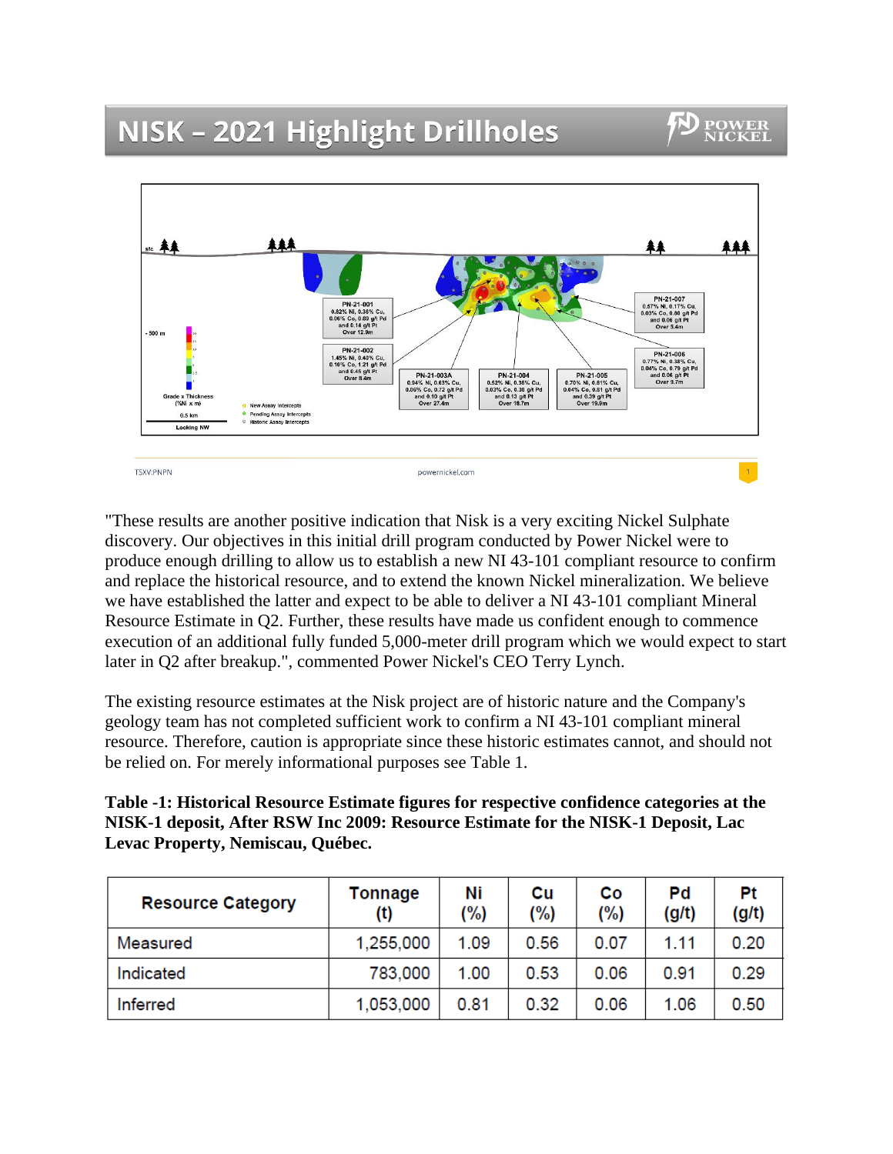## NISK - 2021 Highlight Drillholes



"These results are another positive indication that Nisk is a very exciting Nickel Sulphate discovery. Our objectives in this initial drill program conducted by Power Nickel were to produce enough drilling to allow us to establish a new NI 43-101 compliant resource to confirm and replace the historical resource, and to extend the known Nickel mineralization. We believe we have established the latter and expect to be able to deliver a NI 43-101 compliant Mineral Resource Estimate in Q2. Further, these results have made us confident enough to commence execution of an additional fully funded 5,000-meter drill program which we would expect to start later in Q2 after breakup.", commented Power Nickel's CEO Terry Lynch.

The existing resource estimates at the Nisk project are of historic nature and the Company's geology team has not completed sufficient work to confirm a NI 43-101 compliant mineral resource. Therefore, caution is appropriate since these historic estimates cannot, and should not be relied on. For merely informational purposes see Table 1.

**Table -1: Historical Resource Estimate figures for respective confidence categories at the NISK-1 deposit, After RSW Inc 2009: Resource Estimate for the NISK-1 Deposit, Lac Levac Property, Nemiscau, Québec.**

| <b>Resource Category</b> | <b>Tonnage</b><br>(t) | Ni<br>$(\%)$ | Cu<br>(%) | Co<br>$(\%)$ | Pd<br>(g/t) | Pt<br>(g/t) |
|--------------------------|-----------------------|--------------|-----------|--------------|-------------|-------------|
| Measured                 | 1,255,000             | 1.09         | 0.56      | 0.07         | 1.11        | 0.20        |
| Indicated                | 783,000               | 1.00         | 0.53      | 0.06         | 0.91        | 0.29        |
| Inferred                 | 1,053,000             | 0.81         | 0.32      | 0.06         | 1.06        | 0.50        |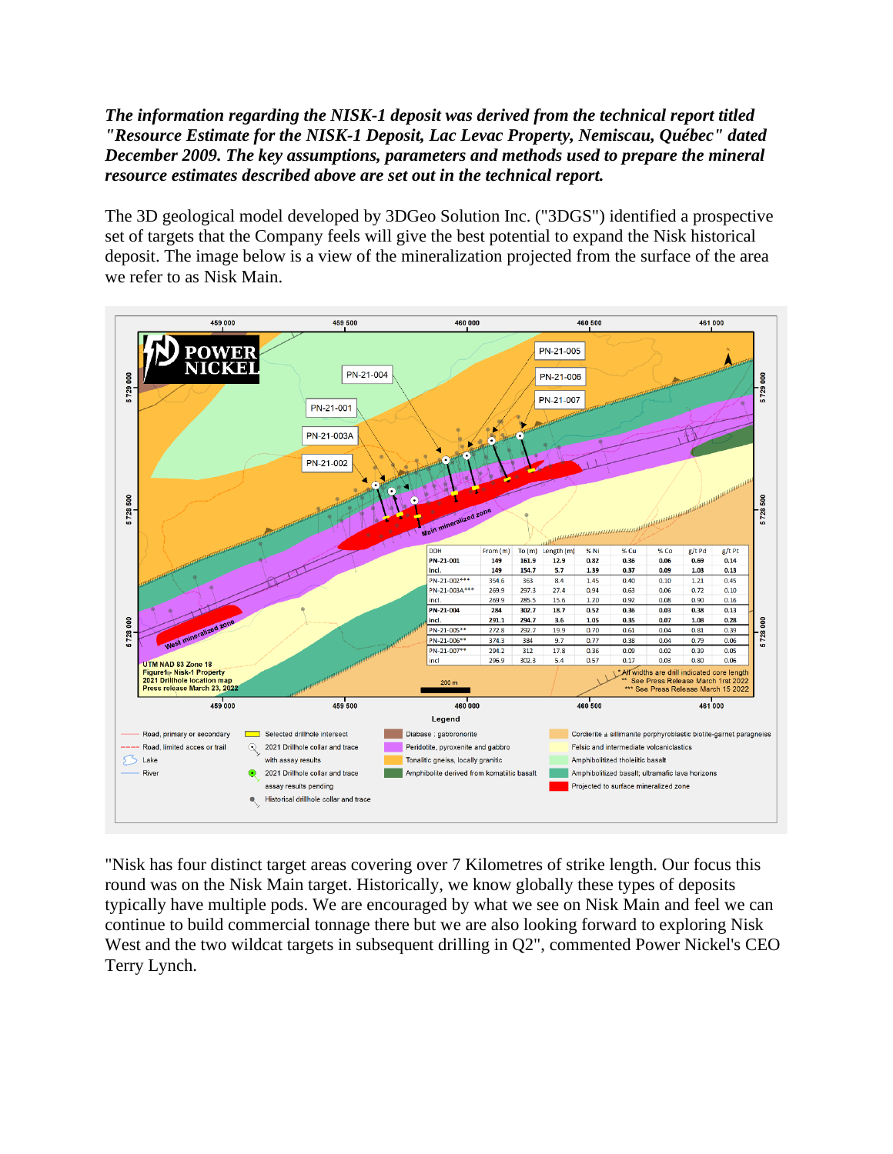## *The information regarding the NISK-1 deposit was derived from the technical report titled "Resource Estimate for the NISK-1 Deposit, Lac Levac Property, Nemiscau, Québec" dated December 2009. The key assumptions, parameters and methods used to prepare the mineral resource estimates described above are set out in the technical report.*

The 3D geological model developed by 3DGeo Solution Inc. ("3DGS") identified a prospective set of targets that the Company feels will give the best potential to expand the Nisk historical deposit. The image below is a view of the mineralization projected from the surface of the area we refer to as Nisk Main.



"Nisk has four distinct target areas covering over 7 Kilometres of strike length. Our focus this round was on the Nisk Main target. Historically, we know globally these types of deposits typically have multiple pods. We are encouraged by what we see on Nisk Main and feel we can continue to build commercial tonnage there but we are also looking forward to exploring Nisk West and the two wildcat targets in subsequent drilling in Q2", commented Power Nickel's CEO Terry Lynch.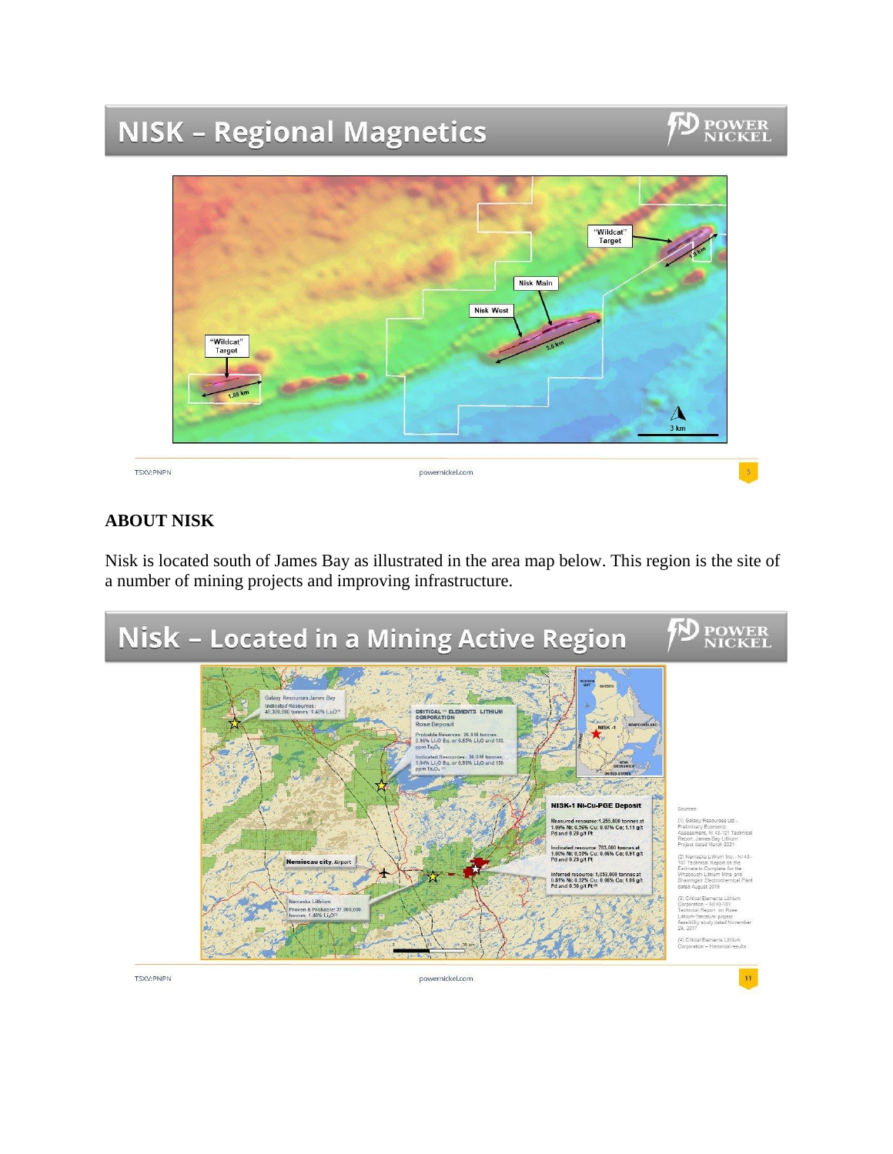# **NISK - Regional Magnetics**

# **POWER**<br>NICKEL



## **ABOUT NISK**

Nisk is located south of James Bay as illustrated in the area map below. This region is the site of a number of mining projects and improving infrastructure.

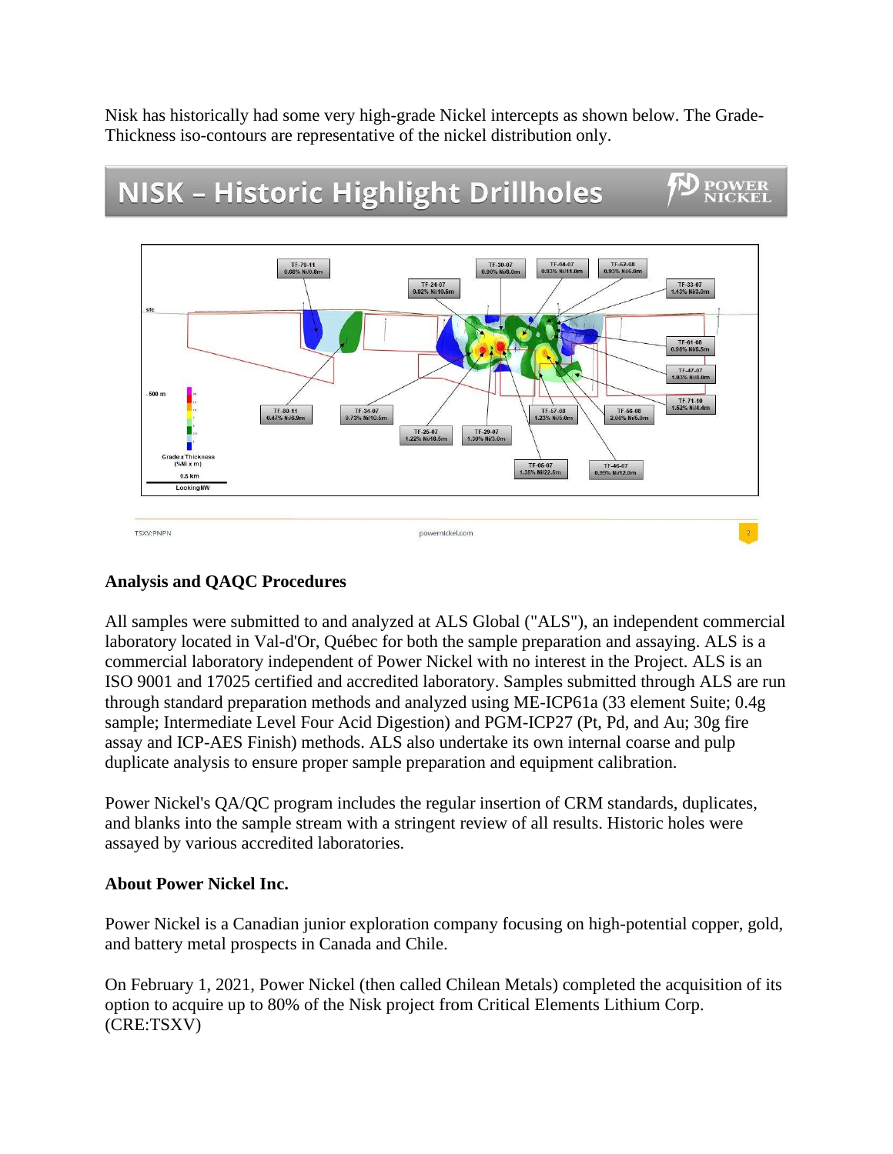Nisk has historically had some very high-grade Nickel intercepts as shown below. The Grade-Thickness iso-contours are representative of the nickel distribution only.



## **NISK - Historic Highlight Drillholes**

POWER<br>NICKEI

## **Analysis and QAQC Procedures**

All samples were submitted to and analyzed at ALS Global ("ALS"), an independent commercial laboratory located in Val-d'Or, Québec for both the sample preparation and assaying. ALS is a commercial laboratory independent of Power Nickel with no interest in the Project. ALS is an ISO 9001 and 17025 certified and accredited laboratory. Samples submitted through ALS are run through standard preparation methods and analyzed using ME-ICP61a (33 element Suite; 0.4g sample; Intermediate Level Four Acid Digestion) and PGM-ICP27 (Pt, Pd, and Au; 30g fire assay and ICP-AES Finish) methods. ALS also undertake its own internal coarse and pulp duplicate analysis to ensure proper sample preparation and equipment calibration.

Power Nickel's QA/QC program includes the regular insertion of CRM standards, duplicates, and blanks into the sample stream with a stringent review of all results. Historic holes were assayed by various accredited laboratories.

## **About Power Nickel Inc.**

Power Nickel is a Canadian junior exploration company focusing on high-potential copper, gold, and battery metal prospects in Canada and Chile.

On February 1, 2021, Power Nickel (then called Chilean Metals) completed the acquisition of its option to acquire up to 80% of the Nisk project from Critical Elements Lithium Corp. (CRE:TSXV)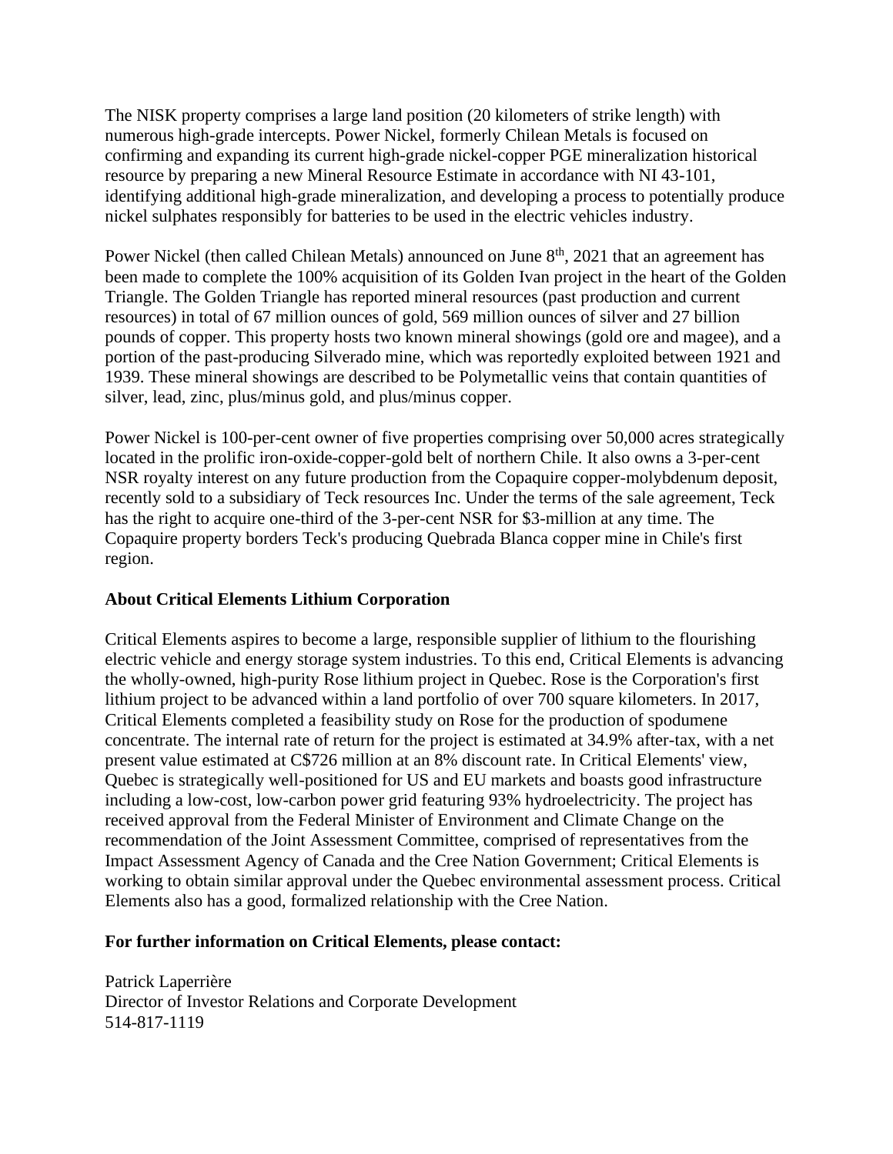The NISK property comprises a large land position (20 kilometers of strike length) with numerous high-grade intercepts. Power Nickel, formerly Chilean Metals is focused on confirming and expanding its current high-grade nickel-copper PGE mineralization historical resource by preparing a new Mineral Resource Estimate in accordance with NI 43-101, identifying additional high-grade mineralization, and developing a process to potentially produce nickel sulphates responsibly for batteries to be used in the electric vehicles industry.

Power Nickel (then called Chilean Metals) announced on June  $8<sup>th</sup>$ , 2021 that an agreement has been made to complete the 100% acquisition of its Golden Ivan project in the heart of the Golden Triangle. The Golden Triangle has reported mineral resources (past production and current resources) in total of 67 million ounces of gold, 569 million ounces of silver and 27 billion pounds of copper. This property hosts two known mineral showings (gold ore and magee), and a portion of the past-producing Silverado mine, which was reportedly exploited between 1921 and 1939. These mineral showings are described to be Polymetallic veins that contain quantities of silver, lead, zinc, plus/minus gold, and plus/minus copper.

Power Nickel is 100-per-cent owner of five properties comprising over 50,000 acres strategically located in the prolific iron-oxide-copper-gold belt of northern Chile. It also owns a 3-per-cent NSR royalty interest on any future production from the Copaquire copper-molybdenum deposit, recently sold to a subsidiary of Teck resources Inc. Under the terms of the sale agreement, Teck has the right to acquire one-third of the 3-per-cent NSR for \$3-million at any time. The Copaquire property borders Teck's producing Quebrada Blanca copper mine in Chile's first region.

## **About Critical Elements Lithium Corporation**

Critical Elements aspires to become a large, responsible supplier of lithium to the flourishing electric vehicle and energy storage system industries. To this end, Critical Elements is advancing the wholly-owned, high-purity Rose lithium project in Quebec. Rose is the Corporation's first lithium project to be advanced within a land portfolio of over 700 square kilometers. In 2017, Critical Elements completed a feasibility study on Rose for the production of spodumene concentrate. The internal rate of return for the project is estimated at 34.9% after-tax, with a net present value estimated at C\$726 million at an 8% discount rate. In Critical Elements' view, Quebec is strategically well-positioned for US and EU markets and boasts good infrastructure including a low-cost, low-carbon power grid featuring 93% hydroelectricity. The project has received approval from the Federal Minister of Environment and Climate Change on the recommendation of the Joint Assessment Committee, comprised of representatives from the Impact Assessment Agency of Canada and the Cree Nation Government; Critical Elements is working to obtain similar approval under the Quebec environmental assessment process. Critical Elements also has a good, formalized relationship with the Cree Nation.

## **For further information on Critical Elements, please contact:**

Patrick Laperrière Director of Investor Relations and Corporate Development 514-817-1119